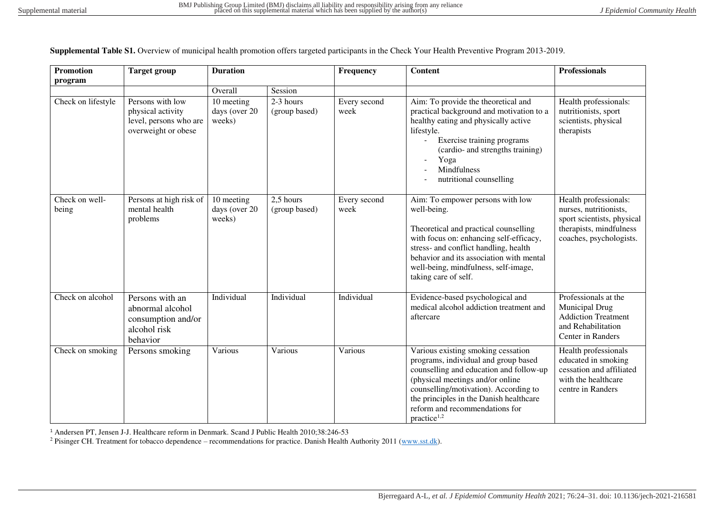| <b>Promotion</b>        | <b>Target group</b>                                                                    | <b>Duration</b>                       |                              | Frequency            | <b>Content</b>                                                                                                                                                                                                                                                                                             | <b>Professionals</b>                                                                                                                |
|-------------------------|----------------------------------------------------------------------------------------|---------------------------------------|------------------------------|----------------------|------------------------------------------------------------------------------------------------------------------------------------------------------------------------------------------------------------------------------------------------------------------------------------------------------------|-------------------------------------------------------------------------------------------------------------------------------------|
| program                 |                                                                                        |                                       |                              |                      |                                                                                                                                                                                                                                                                                                            |                                                                                                                                     |
|                         |                                                                                        | Overall                               | Session                      |                      |                                                                                                                                                                                                                                                                                                            |                                                                                                                                     |
| Check on lifestyle      | Persons with low<br>physical activity<br>level, persons who are<br>overweight or obese | 10 meeting<br>days (over 20<br>weeks) | $2-3$ hours<br>(group based) | Every second<br>week | Aim: To provide the theoretical and<br>practical background and motivation to a<br>healthy eating and physically active<br>lifestyle.<br>Exercise training programs<br>(cardio- and strengths training)<br>Yoga<br><b>Mindfulness</b><br>nutritional counselling                                           | Health professionals:<br>nutritionists, sport<br>scientists, physical<br>therapists                                                 |
| Check on well-<br>being | Persons at high risk of<br>mental health<br>problems                                   | 10 meeting<br>days (over 20<br>weeks) | 2,5 hours<br>(group based)   | Every second<br>week | Aim: To empower persons with low<br>well-being.<br>Theoretical and practical counselling<br>with focus on: enhancing self-efficacy,<br>stress- and conflict handling, health<br>behavior and its association with mental<br>well-being, mindfulness, self-image,<br>taking care of self.                   | Health professionals:<br>nurses, nutritionists,<br>sport scientists, physical<br>therapists, mindfulness<br>coaches, psychologists. |
| Check on alcohol        | Persons with an<br>abnormal alcohol<br>consumption and/or<br>alcohol risk<br>behavior  | Individual                            | Individual                   | Individual           | Evidence-based psychological and<br>medical alcohol addiction treatment and<br>aftercare                                                                                                                                                                                                                   | Professionals at the<br>Municipal Drug<br><b>Addiction Treatment</b><br>and Rehabilitation<br>Center in Randers                     |
| Check on smoking        | Persons smoking                                                                        | Various                               | Various                      | Various              | Various existing smoking cessation<br>programs, individual and group based<br>counselling and education and follow-up<br>(physical meetings and/or online<br>counselling/motivation). According to<br>the principles in the Danish healthcare<br>reform and recommendations for<br>practice <sup>1,2</sup> | Health professionals<br>educated in smoking<br>cessation and affiliated<br>with the healthcare<br>centre in Randers                 |

**Supplemental Table S1.** Overview of municipal health promotion offers targeted participants in the Check Your Health Preventive Program 2013-2019.

<sup>1</sup> Andersen PT, Jensen J-J. Healthcare reform in Denmark. Scand J Public Health 2010;38:246-53

<sup>2</sup> Pisinger CH. Treatment for tobacco dependence – recommendations for practice. Danish Health Authority 2011 [\(www.sst.dk\)](http://www.sst.dk/).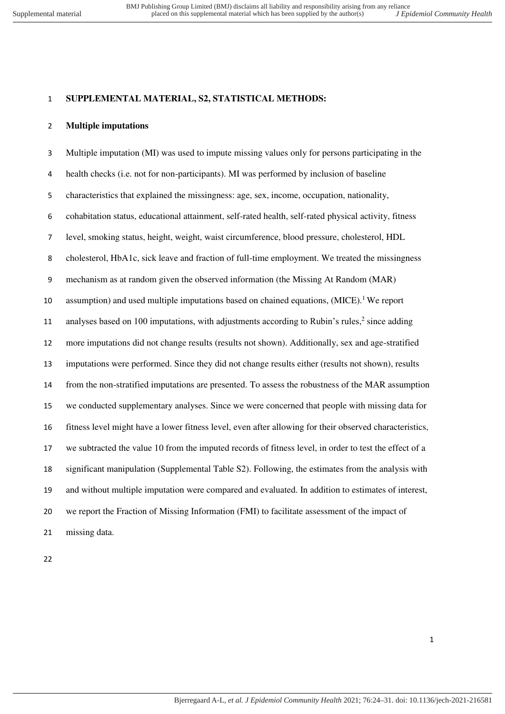### **SUPPLEMENTAL MATERIAL, S2, STATISTICAL METHODS:**

#### **Multiple imputations**

 Multiple imputation (MI) was used to impute missing values only for persons participating in the health checks (i.e. not for non-participants). MI was performed by inclusion of baseline characteristics that explained the missingness: age, sex, income, occupation, nationality, cohabitation status, educational attainment, self-rated health, self-rated physical activity, fitness level, smoking status, height, weight, waist circumference, blood pressure, cholesterol, HDL cholesterol, HbA1c, sick leave and fraction of full-time employment. We treated the missingness mechanism as at random given the observed information (the Missing At Random (MAR) 10 assumption) and used multiple imputations based on chained equations,  $(MICE)$ . We report 11 analyses based on 100 imputations, with adjustments according to Rubin's rules, since adding more imputations did not change results (results not shown). Additionally, sex and age-stratified imputations were performed. Since they did not change results either (results not shown), results from the non-stratified imputations are presented. To assess the robustness of the MAR assumption we conducted supplementary analyses. Since we were concerned that people with missing data for fitness level might have a lower fitness level, even after allowing for their observed characteristics, we subtracted the value 10 from the imputed records of fitness level, in order to test the effect of a significant manipulation (Supplemental Table S2). Following, the estimates from the analysis with and without multiple imputation were compared and evaluated. In addition to estimates of interest, we report the Fraction of Missing Information (FMI) to facilitate assessment of the impact of missing data.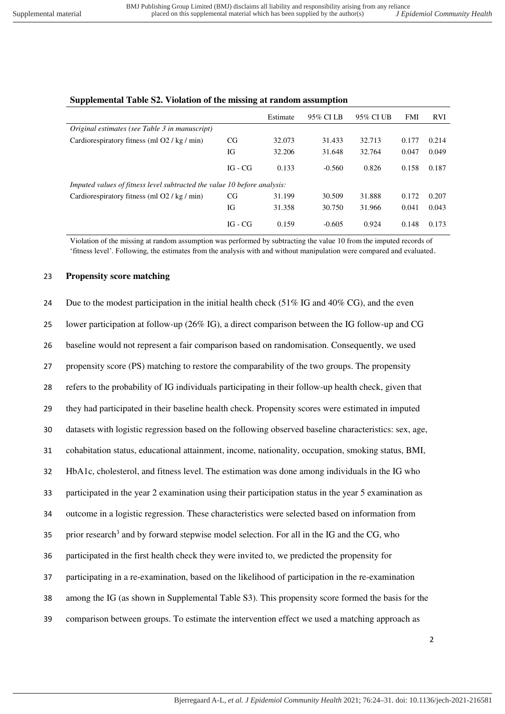|                                                                          |           | Estimate | 95% CI LB | 95% CI UB | <b>FMI</b> | <b>RVI</b> |
|--------------------------------------------------------------------------|-----------|----------|-----------|-----------|------------|------------|
| Original estimates (see Table 3 in manuscript)                           |           |          |           |           |            |            |
| Cardiorespiratory fitness (ml O2 / kg / min)                             | CG        | 32.073   | 31.433    | 32.713    | 0.177      | 0.214      |
|                                                                          | IG        | 32.206   | 31.648    | 32.764    | 0.047      | 0.049      |
|                                                                          | $IG - CG$ | 0.133    | $-0.560$  | 0.826     | 0.158      | 0.187      |
| Imputed values of fitness level subtracted the value 10 before analysis: |           |          |           |           |            |            |
| Cardiorespiratory fitness (ml O2 / kg / min)                             | CG        | 31.199   | 30.509    | 31.888    | 0.172      | 0.207      |
|                                                                          | IG        | 31.358   | 30.750    | 31.966    | 0.041      | 0.043      |
|                                                                          | $IG - CG$ | 0.159    | $-0.605$  | 0.924     | 0.148      | 0.173      |

## **Supplemental Table S2. Violation of the missing at random assumption**

Violation of the missing at random assumption was performed by subtracting the value 10 from the imputed records of 'fitness level'. Following, the estimates from the analysis with and without manipulation were compared and evaluated.

#### 23 **Propensity score matching**

| 24 | Due to the modest participation in the initial health check $(51\% \text{ IG} \text{ and } 40\% \text{ CG})$ , and the even |
|----|-----------------------------------------------------------------------------------------------------------------------------|
| 25 | lower participation at follow-up (26% IG), a direct comparison between the IG follow-up and CG                              |
| 26 | baseline would not represent a fair comparison based on randomisation. Consequently, we used                                |
| 27 | propensity score (PS) matching to restore the comparability of the two groups. The propensity                               |
| 28 | refers to the probability of IG individuals participating in their follow-up health check, given that                       |
| 29 | they had participated in their baseline health check. Propensity scores were estimated in imputed                           |
| 30 | datasets with logistic regression based on the following observed baseline characteristics: sex, age,                       |
| 31 | cohabitation status, educational attainment, income, nationality, occupation, smoking status, BMI,                          |
| 32 | HbA1c, cholesterol, and fitness level. The estimation was done among individuals in the IG who                              |
| 33 | participated in the year 2 examination using their participation status in the year 5 examination as                        |
| 34 | outcome in a logistic regression. These characteristics were selected based on information from                             |
| 35 | prior research <sup>3</sup> and by forward stepwise model selection. For all in the IG and the CG, who                      |
| 36 | participated in the first health check they were invited to, we predicted the propensity for                                |
| 37 | participating in a re-examination, based on the likelihood of participation in the re-examination                           |
| 38 | among the IG (as shown in Supplemental Table S3). This propensity score formed the basis for the                            |
| 39 | comparison between groups. To estimate the intervention effect we used a matching approach as                               |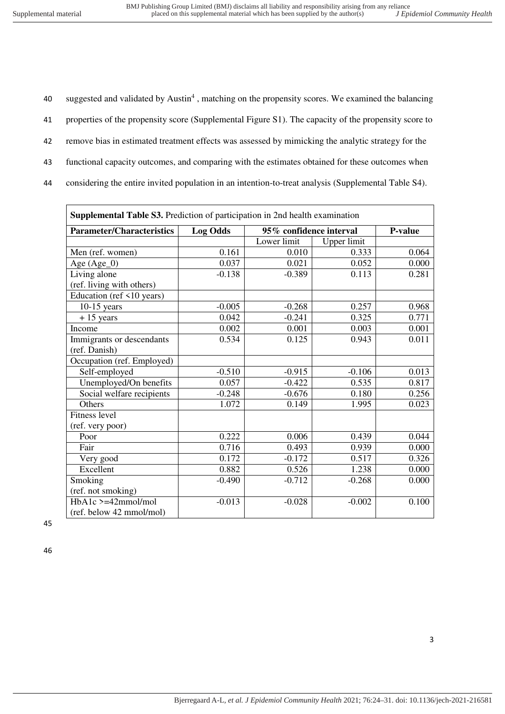40 suggested and validated by Austin<sup>4</sup>, matching on the propensity scores. We examined the balancing 41 properties of the propensity score (Supplemental Figure S1). The capacity of the propensity score to 42 remove bias in estimated treatment effects was assessed by mimicking the analytic strategy for the

- 43 functional capacity outcomes, and comparing with the estimates obtained for these outcomes when
- 44 considering the entire invited population in an intention-to-treat analysis (Supplemental Table S4).

| <b>Supplemental Table S3.</b> Prediction of participation in 2nd health examination |                                            |             |             |         |  |  |
|-------------------------------------------------------------------------------------|--------------------------------------------|-------------|-------------|---------|--|--|
| <b>Parameter/Characteristics</b>                                                    | <b>Log Odds</b><br>95% confidence interval |             |             | P-value |  |  |
|                                                                                     |                                            | Lower limit | Upper limit |         |  |  |
| Men (ref. women)                                                                    | 0.161                                      | 0.010       | 0.333       | 0.064   |  |  |
| Age (Age_0)                                                                         | 0.037                                      | 0.021       | 0.052       | 0.000   |  |  |
| Living alone                                                                        | $-0.138$                                   | $-0.389$    | 0.113       | 0.281   |  |  |
| (ref. living with others)                                                           |                                            |             |             |         |  |  |
| Education (ref <10 years)                                                           |                                            |             |             |         |  |  |
| $10-15$ years                                                                       | $-0.005$                                   | $-0.268$    | 0.257       | 0.968   |  |  |
| $+15$ years                                                                         | 0.042                                      | $-0.241$    | 0.325       | 0.771   |  |  |
| Income                                                                              | 0.002                                      | 0.001       | 0.003       | 0.001   |  |  |
| Immigrants or descendants                                                           | 0.534                                      | 0.125       | 0.943       | 0.011   |  |  |
| (ref. Danish)                                                                       |                                            |             |             |         |  |  |
| Occupation (ref. Employed)                                                          |                                            |             |             |         |  |  |
| Self-employed                                                                       | $-0.510$                                   | $-0.915$    | $-0.106$    | 0.013   |  |  |
| Unemployed/On benefits                                                              | 0.057                                      | $-0.422$    | 0.535       | 0.817   |  |  |
| Social welfare recipients                                                           | $-0.248$                                   | $-0.676$    | 0.180       | 0.256   |  |  |
| Others                                                                              | 1.072                                      | 0.149       | 1.995       | 0.023   |  |  |
| <b>Fitness level</b>                                                                |                                            |             |             |         |  |  |
| (ref. very poor)                                                                    |                                            |             |             |         |  |  |
| Poor                                                                                | 0.222                                      | 0.006       | 0.439       | 0.044   |  |  |
| Fair                                                                                | 0.716                                      | 0.493       | 0.939       | 0.000   |  |  |
| Very good                                                                           | 0.172                                      | $-0.172$    | 0.517       | 0.326   |  |  |
| Excellent                                                                           | 0.882                                      | 0.526       | 1.238       | 0.000   |  |  |
| Smoking                                                                             | $-0.490$                                   | $-0.712$    | $-0.268$    | 0.000   |  |  |
| (ref. not smoking)                                                                  |                                            |             |             |         |  |  |
| $HbA1c$ >=42mmol/mol                                                                | $-0.013$                                   | $-0.028$    | $-0.002$    | 0.100   |  |  |
| (ref. below 42 mmol/mol)                                                            |                                            |             |             |         |  |  |

45

46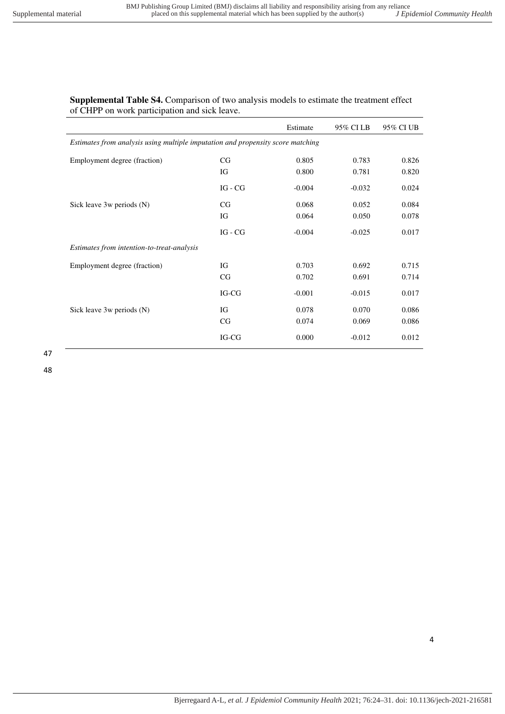## **Supplemental Table S4.** Comparison of two analysis models to estimate the treatment effect of CHPP on work participation and sick leave.

|                                                                                 |           | Estimate | 95% CI LB | 95% CI UB |  |  |  |  |
|---------------------------------------------------------------------------------|-----------|----------|-----------|-----------|--|--|--|--|
| Estimates from analysis using multiple imputation and propensity score matching |           |          |           |           |  |  |  |  |
| Employment degree (fraction)                                                    | CG        | 0.805    | 0.783     | 0.826     |  |  |  |  |
|                                                                                 | IG        | 0.800    | 0.781     | 0.820     |  |  |  |  |
|                                                                                 | $IG - CG$ | $-0.004$ | $-0.032$  | 0.024     |  |  |  |  |
| Sick leave 3w periods (N)                                                       | CG        | 0.068    | 0.052     | 0.084     |  |  |  |  |
|                                                                                 | IG        | 0.064    | 0.050     | 0.078     |  |  |  |  |
|                                                                                 | $IG - CG$ | $-0.004$ | $-0.025$  | 0.017     |  |  |  |  |
| Estimates from intention-to-treat-analysis                                      |           |          |           |           |  |  |  |  |
| Employment degree (fraction)                                                    | IG        | 0.703    | 0.692     | 0.715     |  |  |  |  |
|                                                                                 | CG        | 0.702    | 0.691     | 0.714     |  |  |  |  |
|                                                                                 | IG-CG     | $-0.001$ | $-0.015$  | 0.017     |  |  |  |  |
| Sick leave 3w periods (N)                                                       | IG        | 0.078    | 0.070     | 0.086     |  |  |  |  |
|                                                                                 | CG        | 0.074    | 0.069     | 0.086     |  |  |  |  |
|                                                                                 | IG-CG     | 0.000    | $-0.012$  | 0.012     |  |  |  |  |

47

48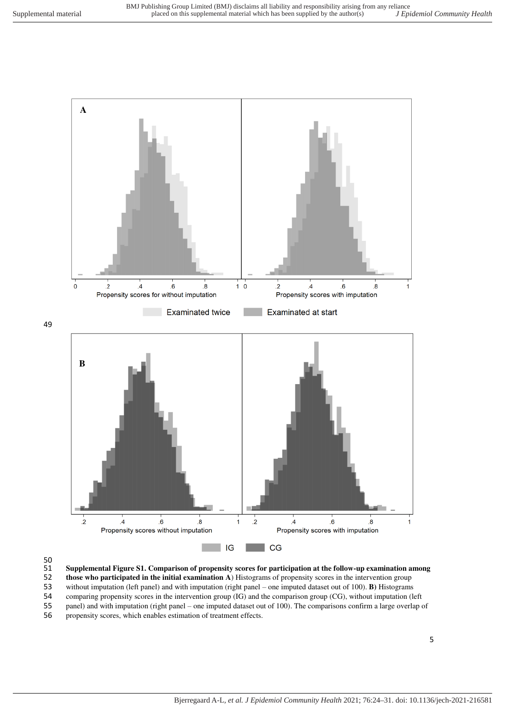

49



51 **Supplemental Figure S1. Comparison of propensity scores for participation at the follow-up examination among** 

54 comparing propensity scores in the intervention group (IG) and the comparison group (CG), without imputation (left panel) and with imputation (right panel – one imputed dataset out of 100). The comparisons confirm a lar panel) and with imputation (right panel – one imputed dataset out of 100). The comparisons confirm a large overlap of

56 propensity scores, which enables estimation of treatment effects.

<sup>52</sup> **those who participated in the initial examination A**) Histograms of propensity scores in the intervention group

<sup>53</sup> without imputation (left panel) and with imputation (right panel – one imputed dataset out of 100). **B)** Histograms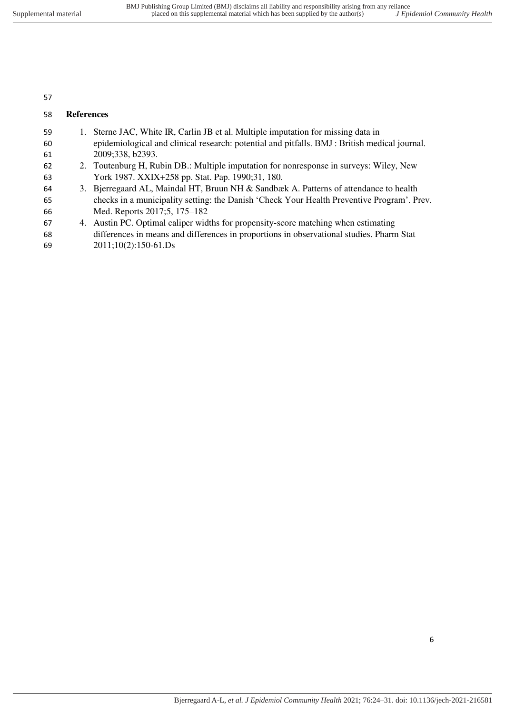# **References**

| 59 | 1. Sterne JAC, White IR, Carlin JB et al. Multiple imputation for missing data in             |
|----|-----------------------------------------------------------------------------------------------|
| 60 | epidemiological and clinical research: potential and pitfalls. BMJ : British medical journal. |
| 61 | 2009;338, b2393.                                                                              |
| 62 | 2. Toutenburg H, Rubin DB.: Multiple imputation for nonresponse in surveys: Wiley, New        |
| 63 | York 1987. XXIX+258 pp. Stat. Pap. 1990;31, 180.                                              |
| 64 | 3. Bjerregaard AL, Maindal HT, Bruun NH & Sandbæk A. Patterns of attendance to health         |
| 65 | checks in a municipality setting: the Danish 'Check Your Health Preventive Program'. Prev.    |
| 66 | Med. Reports 2017;5, 175–182                                                                  |
| 67 | 4. Austin PC. Optimal caliper widths for propensity-score matching when estimating            |
| 68 | differences in means and differences in proportions in observational studies. Pharm Stat      |
| 69 | $2011;10(2):150-61.Ds$                                                                        |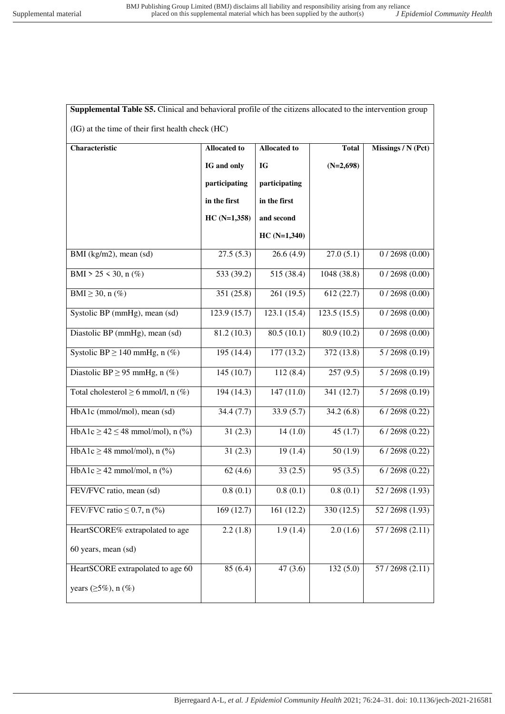| Supplemental Table S5. Clinical and behavioral profile of the citizens allocated to the intervention group |               |               |             |                |  |  |  |
|------------------------------------------------------------------------------------------------------------|---------------|---------------|-------------|----------------|--|--|--|
| (IG) at the time of their first health check (HC)                                                          |               |               |             |                |  |  |  |
| Characteristic<br><b>Allocated to</b><br><b>Allocated to</b><br><b>Total</b><br>Missings / N (Pct)         |               |               |             |                |  |  |  |
|                                                                                                            | IG and only   | IG            | $(N=2,698)$ |                |  |  |  |
|                                                                                                            | participating | participating |             |                |  |  |  |
|                                                                                                            | in the first  | in the first  |             |                |  |  |  |
|                                                                                                            | $HC(N=1,358)$ | and second    |             |                |  |  |  |
|                                                                                                            |               | $HC(N=1,340)$ |             |                |  |  |  |
| BMI (kg/m2), mean (sd)                                                                                     | 27.5(5.3)     | 26.6(4.9)     | 27.0(5.1)   | 0/2698(0.00)   |  |  |  |
| BMI > 25 < 30, n $(\%)$                                                                                    | 533 (39.2)    | 515 (38.4)    | 1048 (38.8) | 0/2698(0.00)   |  |  |  |
| BMI $\geq$ 30, n (%)                                                                                       | 351 (25.8)    | 261 (19.5)    | 612 (22.7)  | 0/2698(0.00)   |  |  |  |
| Systolic BP (mmHg), mean (sd)                                                                              | 123.9 (15.7)  | 123.1 (15.4)  | 123.5(15.5) | 0/2698(0.00)   |  |  |  |
| Diastolic BP (mmHg), mean (sd)                                                                             | 81.2 (10.3)   | 80.5(10.1)    | 80.9 (10.2) | 0/2698(0.00)   |  |  |  |
| Systolic BP $\geq$ 140 mmHg, $\overline{n}$ (%)                                                            | 195 (14.4)    | 177 (13.2)    | 372 (13.8)  | 5/2698(0.19)   |  |  |  |
| Diastolic BP $\geq$ 95 mmHg, n (%)                                                                         | 145(10.7)     | 112(8.4)      | 257(9.5)    | 5/2698(0.19)   |  |  |  |
| Total cholesterol $\geq 6$ mmol/l, n (%)                                                                   | 194 (14.3)    | 147 (11.0)    | 341 (12.7)  | 5/2698(0.19)   |  |  |  |
| HbA1c (mmol/mol), mean (sd)                                                                                | 34.4(7.7)     | 33.9(5.7)     | 34.2(6.8)   | 6/2698(0.22)   |  |  |  |
| HbA1c $\ge$ 42 $\le$ 48 mmol/mol), n (%)                                                                   | 31(2.3)       | 14(1.0)       | 45(1.7)     | 6/2698(0.22)   |  |  |  |
| HbA1c $\geq$ 48 mmol/mol), n (%)                                                                           | 31(2.3)       | 19(1.4)       | 50(1.9)     | 6/2698(0.22)   |  |  |  |
| HbA1c $\geq$ 42 mmol/mol, n (%)                                                                            | 62(4.6)       | 33(2.5)       | 95(3.5)     | 6/2698(0.22)   |  |  |  |
| FEV/FVC ratio, mean (sd)                                                                                   | 0.8(0.1)      | 0.8(0.1)      | 0.8(0.1)    | 52/2698 (1.93) |  |  |  |
| FEV/FVC ratio $\leq 0.7$ , n (%)                                                                           | 169(12.7)     | 161 (12.2)    | 330 (12.5)  | 52/2698(1.93)  |  |  |  |
| HeartSCORE% extrapolated to age                                                                            | 2.2(1.8)      | 1.9(1.4)      | 2.0(1.6)    | 57/2698(2.11)  |  |  |  |
| 60 years, mean (sd)                                                                                        |               |               |             |                |  |  |  |
| HeartSCORE extrapolated to age 60                                                                          | 85(6.4)       | 47(3.6)       | 132(5.0)    | 57/2698 (2.11) |  |  |  |
| years $(\geq 5\%)$ , n $(\%)$                                                                              |               |               |             |                |  |  |  |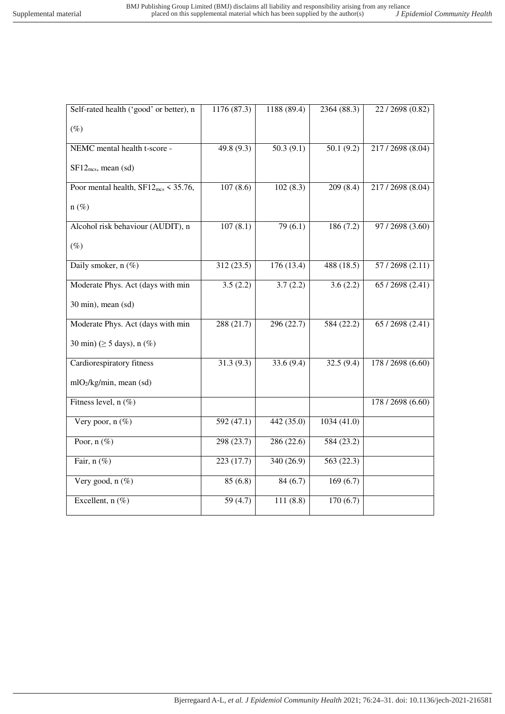| Self-rated health ('good' or better), n          | 1176 (87.3)            | 1188 (89.4) | 2364 (88.3) | 22/2698 (0.82)    |
|--------------------------------------------------|------------------------|-------------|-------------|-------------------|
| $(\%)$                                           |                        |             |             |                   |
| NEMC mental health t-score -                     | 49.8 (9.3)             | 50.3(9.1)   | 50.1(9.2)   | 217/2698 (8.04)   |
| $SF12_{mcs}$ , mean (sd)                         |                        |             |             |                   |
| Poor mental health, $SF12_{\text{mcs}}$ < 35.76, | 107(8.6)               | 102(8.3)    | 209(8.4)    | 217/2698 (8.04)   |
| $n(\%)$                                          |                        |             |             |                   |
| Alcohol risk behaviour (AUDIT), n                | 107(8.1)               | 79(6.1)     | 186 (7.2)   | 97 / 2698 (3.60)  |
| $(\%)$                                           |                        |             |             |                   |
| Daily smoker, n (%)                              | 312 (23.5)             | 176 (13.4)  | 488 (18.5)  | 57/2698 (2.11)    |
| Moderate Phys. Act (days with min                | 3.5(2.2)               | 3.7(2.2)    | 3.6(2.2)    | 65 / 2698 (2.41)  |
| 30 min), mean (sd)                               |                        |             |             |                   |
| Moderate Phys. Act (days with min                | 288(21.7)              | 296(22.7)   | 584(22.2)   | 65/2698(2.41)     |
| 30 min) ( $\geq$ 5 days), n (%)                  |                        |             |             |                   |
| Cardiorespiratory fitness                        | $\overline{31.3(9.3)}$ | 33.6(9.4)   | 32.5(9.4)   | 178 / 2698 (6.60) |
| mlO2/kg/min, mean (sd)                           |                        |             |             |                   |
| Fitness level, n (%)                             |                        |             |             | 178 / 2698 (6.60) |
| Very poor, $n$ (%)                               | 592(47.1)              | 442(35.0)   | 1034(41.0)  |                   |
| Poor, $n$ (%)                                    | 298 (23.7)             | 286 (22.6)  | 584 (23.2)  |                   |
| Fair, $n$ (%)                                    | 223(17.7)              | 340 (26.9)  | 563 (22.3)  |                   |
| Very good, $n$ (%)                               | 85(6.8)                | 84(6.7)     | 169(6.7)    |                   |
| Excellent, $n$ (%)                               | 59(4.7)                | 111(8.8)    | 170(6.7)    |                   |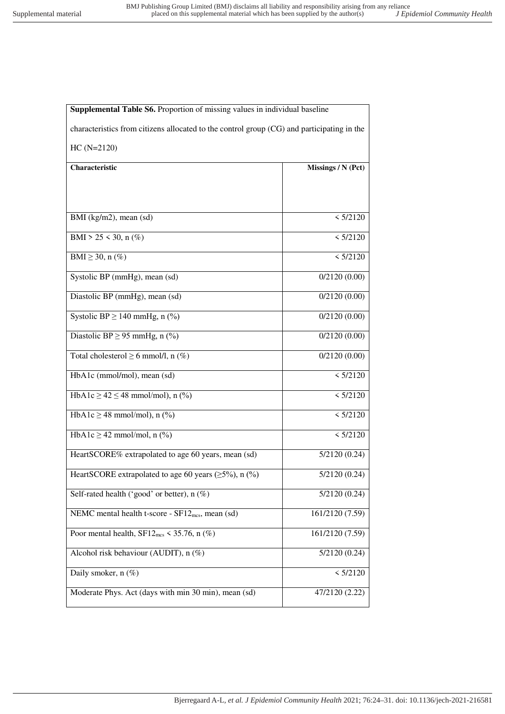| characteristics from citizens allocated to the control group (CG) and participating in the |                    |  |  |  |  |
|--------------------------------------------------------------------------------------------|--------------------|--|--|--|--|
| $HC(N=2120)$                                                                               |                    |  |  |  |  |
| Characteristic                                                                             | Missings / N (Pct) |  |  |  |  |
|                                                                                            |                    |  |  |  |  |
| BMI (kg/m2), mean (sd)                                                                     | < 5/2120           |  |  |  |  |
| BMI > 25 < 30, n $(\%)$                                                                    | < 5/2120           |  |  |  |  |
| BMI $\geq$ 30, n (%)                                                                       | < 5/2120           |  |  |  |  |
| Systolic BP (mmHg), mean (sd)                                                              | 0/2120(0.00)       |  |  |  |  |
| Diastolic BP (mmHg), mean (sd)                                                             | 0/2120(0.00)       |  |  |  |  |
| Systolic BP $\geq$ 140 mmHg, n (%)                                                         | 0/2120(0.00)       |  |  |  |  |
| Diastolic BP $\geq$ 95 mmHg, n (%)                                                         | 0/2120(0.00)       |  |  |  |  |
| Total cholesterol $\geq 6$ mmol/l, n (%)                                                   | 0/2120(0.00)       |  |  |  |  |
| HbA1c (mmol/mol), mean (sd)                                                                | < 5/2120           |  |  |  |  |
| HbA1c $\ge$ 42 $\le$ 48 mmol/mol), n (%)                                                   | < 5/2120           |  |  |  |  |
| HbA1c $\geq$ 48 mmol/mol), n (%)                                                           | < 5/2120           |  |  |  |  |
| $HbA1c \ge 42$ mmol/mol, n (%)                                                             | < 5/2120           |  |  |  |  |
| HeartSCORE% extrapolated to age 60 years, mean (sd)                                        | 5/2120(0.24)       |  |  |  |  |
| HeartSCORE extrapolated to age 60 years ( $\geq$ 5%), n (%)                                | 5/2120(0.24)       |  |  |  |  |
| Self-rated health ('good' or better), $n$ (%)                                              | 5/2120(0.24)       |  |  |  |  |
| NEMC mental health t-score - SF12 <sub>mcs</sub> , mean (sd)                               | 161/2120 (7.59)    |  |  |  |  |
| Poor mental health, $SF12_{\text{mcs}}$ < 35.76, n $(\%)$                                  | 161/2120 (7.59)    |  |  |  |  |
| Alcohol risk behaviour (AUDIT), n (%)                                                      | 5/2120(0.24)       |  |  |  |  |
| Daily smoker, $n$ (%)                                                                      | < 5/2120           |  |  |  |  |
| Moderate Phys. Act (days with min 30 min), mean (sd)                                       | 47/2120 (2.22)     |  |  |  |  |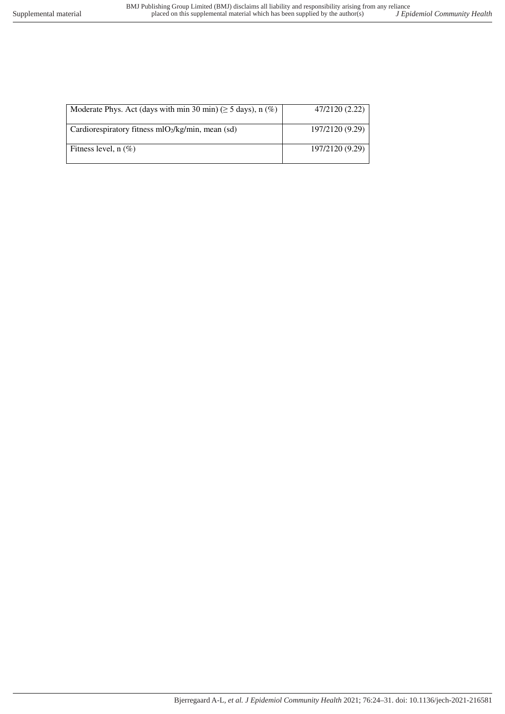| Moderate Phys. Act (days with min 30 min) ( $\geq$ 5 days), n (%) | 47/2120 (2.22)  |
|-------------------------------------------------------------------|-----------------|
| Cardiorespiratory fitness $mO2/kg/min$ , mean (sd)                | 197/2120 (9.29) |
| Fitness level, $n$ (%)                                            | 197/2120 (9.29) |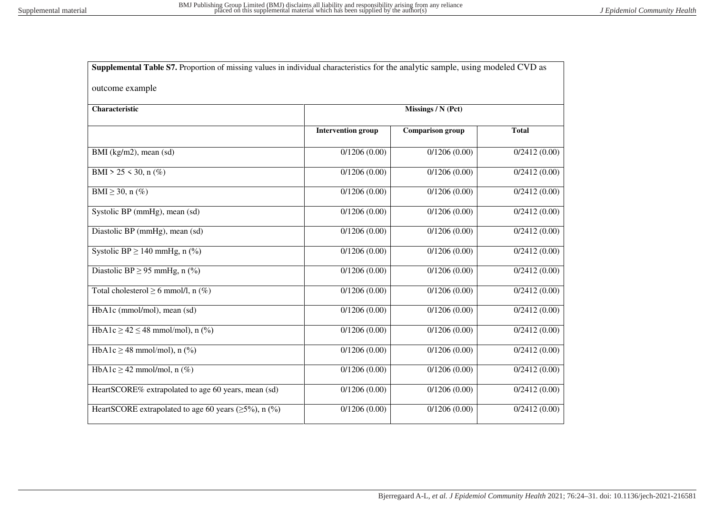| Supplemental Table S7. Proportion of missing values in individual characteristics for the analytic sample, using modeled CVD as |                           |                         |              |
|---------------------------------------------------------------------------------------------------------------------------------|---------------------------|-------------------------|--------------|
| outcome example                                                                                                                 |                           |                         |              |
| Characteristic                                                                                                                  |                           | Missings / N (Pct)      |              |
|                                                                                                                                 | <b>Intervention group</b> | <b>Comparison group</b> | <b>Total</b> |
| BMI (kg/m2), mean (sd)                                                                                                          | 0/1206(0.00)              | 0/1206(0.00)            | 0/2412(0.00) |
| BMI > 25 < 30, n $(\%)$                                                                                                         | 0/1206(0.00)              | 0/1206(0.00)            | 0/2412(0.00) |
| $BMI \geq 30$ , n $(\%)$                                                                                                        | 0/1206(0.00)              | 0/1206(0.00)            | 0/2412(0.00) |
| Systolic BP (mmHg), mean (sd)                                                                                                   | 0/1206(0.00)              | 0/1206(0.00)            | 0/2412(0.00) |
| Diastolic BP (mmHg), mean (sd)                                                                                                  | 0/1206(0.00)              | 0/1206(0.00)            | 0/2412(0.00) |
| Systolic BP $\geq$ 140 mmHg, n (%)                                                                                              | 0/1206(0.00)              | 0/1206(0.00)            | 0/2412(0.00) |
| Diastolic BP $\geq$ 95 mmHg, n (%)                                                                                              | 0/1206(0.00)              | 0/1206(0.00)            | 0/2412(0.00) |
| Total cholesterol $\geq 6$ mmol/l, n (%)                                                                                        | 0/1206(0.00)              | 0/1206(0.00)            | 0/2412(0.00) |
| HbA1c (mmol/mol), mean (sd)                                                                                                     | 0/1206(0.00)              | 0/1206(0.00)            | 0/2412(0.00) |
| HbA1c $\ge$ 42 $\le$ 48 mmol/mol), n (%)                                                                                        | 0/1206(0.00)              | 0/1206(0.00)            | 0/2412(0.00) |
| HbA1c $\geq$ 48 mmol/mol), n (%)                                                                                                | 0/1206(0.00)              | 0/1206(0.00)            | 0/2412(0.00) |
| HbA1c $\geq$ 42 mmol/mol, n (%)                                                                                                 | 0/1206(0.00)              | 0/1206(0.00)            | 0/2412(0.00) |
| HeartSCORE% extrapolated to age 60 years, mean (sd)                                                                             | 0/1206(0.00)              | 0/1206(0.00)            | 0/2412(0.00) |
| HeartSCORE extrapolated to age 60 years ( $\geq$ 5%), n (%)                                                                     | 0/1206(0.00)              | 0/1206(0.00)            | 0/2412(0.00) |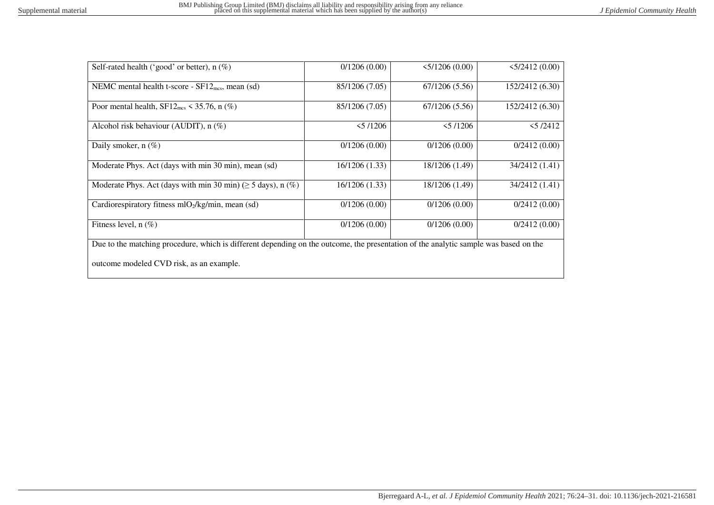| Self-rated health ('good' or better), $n$ (%)                                                                                        | 0/1206(0.00)   | 5/1206(0.00)   | 5/2412(0.00)    |  |  |  |
|--------------------------------------------------------------------------------------------------------------------------------------|----------------|----------------|-----------------|--|--|--|
| NEMC mental health t-score - $SF12_{\text{mcs}}$ , mean (sd)                                                                         | 85/1206 (7.05) | 67/1206 (5.56) | 152/2412 (6.30) |  |  |  |
| Poor mental health, $SF12_{\text{mcs}} \leq 35.76$ , n (%)                                                                           | 85/1206 (7.05) | 67/1206 (5.56) | 152/2412 (6.30) |  |  |  |
| Alcohol risk behaviour (AUDIT), $n$ (%)                                                                                              | 5/1206         | 5/1206         | 5/2412          |  |  |  |
| Daily smoker, n (%)                                                                                                                  | 0/1206(0.00)   | 0/1206(0.00)   | 0/2412(0.00)    |  |  |  |
| Moderate Phys. Act (days with min 30 min), mean (sd)                                                                                 | 16/1206 (1.33) | 18/1206 (1.49) | 34/2412 (1.41)  |  |  |  |
| Moderate Phys. Act (days with min 30 min) ( $\geq$ 5 days), n (%)                                                                    | 16/1206 (1.33) | 18/1206 (1.49) | 34/2412 (1.41)  |  |  |  |
| Cardiorespiratory fitness $mO2/kg/min$ , mean (sd)                                                                                   | 0/1206(0.00)   | 0/1206(0.00)   | 0/2412(0.00)    |  |  |  |
| Fitness level, $n$ (%)                                                                                                               | 0/1206(0.00)   | 0/1206(0.00)   | 0/2412(0.00)    |  |  |  |
| Due to the matching procedure, which is different depending on the outcome, the presentation of the analytic sample was based on the |                |                |                 |  |  |  |
| outcome modeled CVD risk, as an example.                                                                                             |                |                |                 |  |  |  |